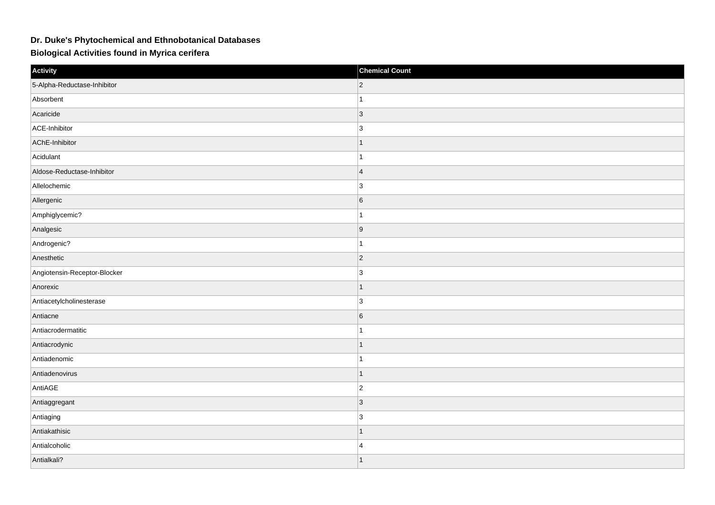## **Dr. Duke's Phytochemical and Ethnobotanical Databases**

## **Biological Activities found in Myrica cerifera**

| Activity                     | <b>Chemical Count</b> |
|------------------------------|-----------------------|
| 5-Alpha-Reductase-Inhibitor  | $ 2\rangle$           |
| Absorbent                    |                       |
| Acaricide                    | $ 3\rangle$           |
| ACE-Inhibitor                | $\vert$ 3             |
| AChE-Inhibitor               | $\mathbf 1$           |
| Acidulant                    | $\overline{1}$        |
| Aldose-Reductase-Inhibitor   | $\overline{4}$        |
| Allelochemic                 | 3                     |
| Allergenic                   | $6\overline{6}$       |
| Amphiglycemic?               | $\overline{1}$        |
| Analgesic                    | 9                     |
| Androgenic?                  | 1                     |
| Anesthetic                   | $ 2\rangle$           |
| Angiotensin-Receptor-Blocker | $\vert$ 3             |
| Anorexic                     | $\mathbf{1}$          |
| Antiacetylcholinesterase     | 3                     |
| Antiacne                     | $6\overline{6}$       |
| Antiacrodermatitic           |                       |
| Antiacrodynic                | $\mathbf{1}$          |
| Antiadenomic                 |                       |
| Antiadenovirus               | $\mathbf{1}$          |
| AntiAGE                      | $ 2\rangle$           |
| Antiaggregant                | $\vert$ 3             |
| Antiaging                    | 3                     |
| Antiakathisic                | $\mathbf{1}$          |
| Antialcoholic                | $\overline{4}$        |
| Antialkali?                  | $\mathbf{1}$          |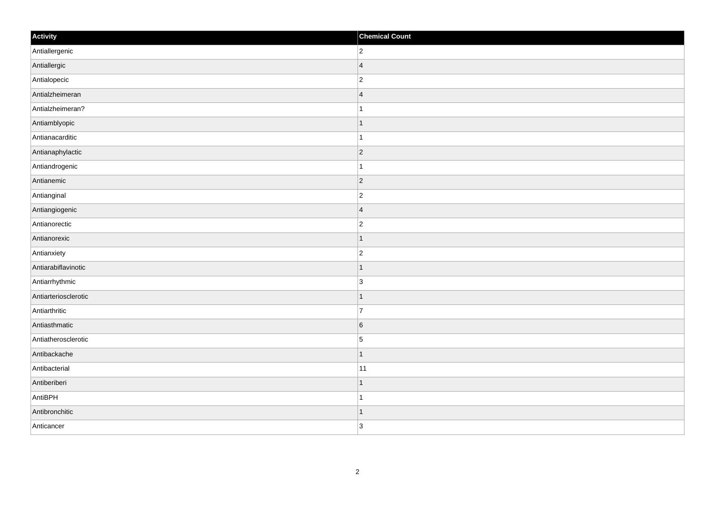| Activity             | <b>Chemical Count</b> |
|----------------------|-----------------------|
| Antiallergenic       | $ 2\rangle$           |
| Antiallergic         | $\vert$ 4             |
| Antialopecic         | $\vert$ 2             |
| Antialzheimeran      | $\vert 4$             |
| Antialzheimeran?     | $\vert$ 1             |
| Antiamblyopic        | $\vert$ 1             |
| Antianacarditic      | $\mathbf{1}$          |
| Antianaphylactic     | $\overline{2}$        |
| Antiandrogenic       | $\mathbf{1}$          |
| Antianemic           | $ 2\rangle$           |
| Antianginal          | $\overline{2}$        |
| Antiangiogenic       | $\vert 4$             |
| Antianorectic        | $ 2\rangle$           |
| Antianorexic         | $\mathbf{1}$          |
| Antianxiety          | $ 2\rangle$           |
| Antiarabiflavinotic  | $\vert$ 1             |
| Antiarrhythmic       | $\vert 3 \vert$       |
| Antiarteriosclerotic | $\vert$ 1             |
| Antiarthritic        | 17                    |
| Antiasthmatic        | $6\overline{6}$       |
| Antiatherosclerotic  | 5                     |
| Antibackache         | $\mathbf{1}$          |
| Antibacterial        | $ 11\rangle$          |
| Antiberiberi         | $\mathbf{1}$          |
| AntiBPH              | $\vert$ 1             |
| Antibronchitic       | $\vert$ 1             |
| Anticancer           | 3                     |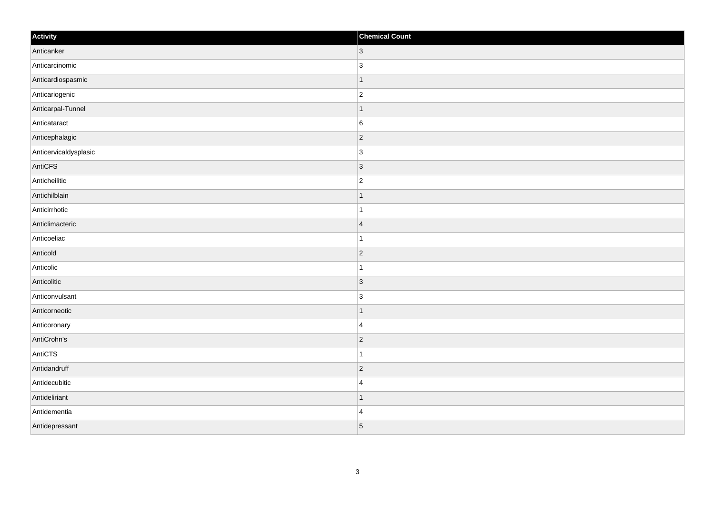| Activity              | <b>Chemical Count</b>    |
|-----------------------|--------------------------|
| Anticanker            | $ 3\rangle$              |
| Anticarcinomic        | $\overline{3}$           |
| Anticardiospasmic     | -1                       |
| Anticariogenic        | $\overline{c}$           |
| Anticarpal-Tunnel     | $\mathbf 1$              |
| Anticataract          | 6                        |
| Anticephalagic        | $\vert$ 2                |
| Anticervicaldysplasic | $\overline{3}$           |
| AntiCFS               | 3                        |
| Anticheilitic         | $\overline{c}$           |
| Antichilblain         | -1                       |
| Anticirrhotic         |                          |
| Anticlimacteric       | $\vert 4 \vert$          |
| Anticoeliac           | 1                        |
| Anticold              | 2                        |
| Anticolic             | 1                        |
| Anticolitic           | $\vert$ 3                |
| Anticonvulsant        | 3                        |
| Anticorneotic         | $\overline{1}$           |
| Anticoronary          | $\overline{4}$           |
| AntiCrohn's           | $ 2\rangle$              |
| AntiCTS               | 1                        |
| Antidandruff          | $\overline{2}$           |
| Antidecubitic         | $\overline{4}$           |
| Antideliriant         | $\overline{\phantom{a}}$ |
| Antidementia          | $\overline{4}$           |
| Antidepressant        | 5                        |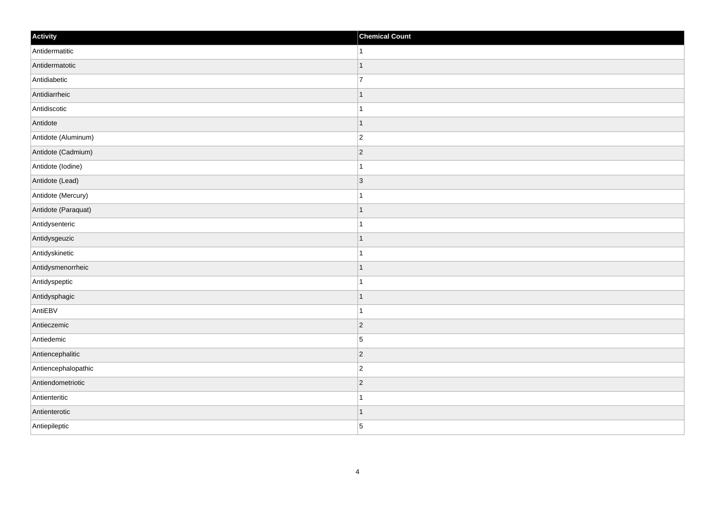| Activity            | <b>Chemical Count</b> |
|---------------------|-----------------------|
| Antidermatitic      | $\mathbf{1}$          |
| Antidermatotic      | $\overline{1}$        |
| Antidiabetic        | $\overline{7}$        |
| Antidiarrheic       | $\mathbf 1$           |
| Antidiscotic        | $\mathbf{1}$          |
| Antidote            | $\mathbf 1$           |
| Antidote (Aluminum) | $\overline{c}$        |
| Antidote (Cadmium)  | $\overline{2}$        |
| Antidote (lodine)   |                       |
| Antidote (Lead)     | 3                     |
| Antidote (Mercury)  | 1                     |
| Antidote (Paraquat) | $\mathbf 1$           |
| Antidysenteric      | $\mathbf 1$           |
| Antidysgeuzic       | $\mathbf 1$           |
| Antidyskinetic      |                       |
| Antidysmenorrheic   | $\vert$ 1             |
| Antidyspeptic       | $\mathbf 1$           |
| Antidysphagic       | $\mathbf 1$           |
| AntiEBV             | 1                     |
| Antieczemic         | $ 2\rangle$           |
| Antiedemic          | 5                     |
| Antiencephalitic    | $ 2\rangle$           |
| Antiencephalopathic | $\overline{c}$        |
| Antiendometriotic   | $\overline{c}$        |
| Antienteritic       | $\overline{1}$        |
| Antienterotic       | $\mathbf{1}$          |
| Antiepileptic       | 5                     |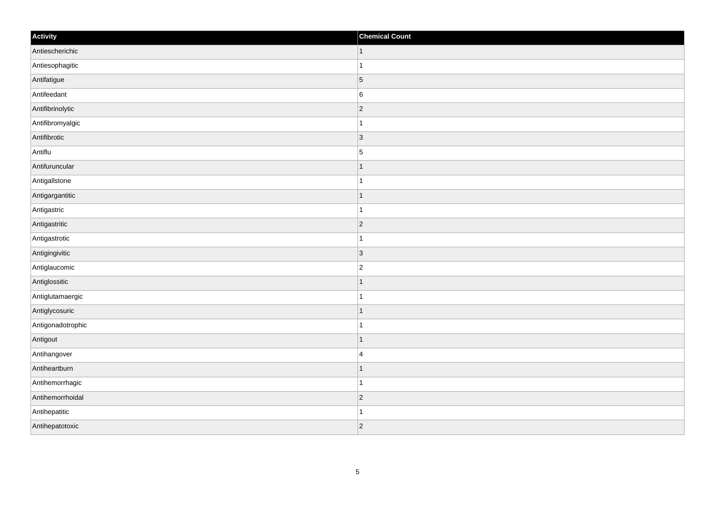| Activity          | <b>Chemical Count</b> |
|-------------------|-----------------------|
| Antiescherichic   | $\vert$ 1             |
| Antiesophagitic   | $\mathbf{1}$          |
| Antifatigue       | $\vert$ 5             |
| Antifeedant       | $\,6$                 |
| Antifibrinolytic  | $\overline{2}$        |
| Antifibromyalgic  |                       |
| Antifibrotic      | $ 3\rangle$           |
| Antiflu           | $\vert$ 5             |
| Antifuruncular    | $\mathbf 1$           |
| Antigallstone     | $\mathbf{1}$          |
| Antigargantitic   | $\mathbf 1$           |
| Antigastric       | 1                     |
| Antigastritic     | $ 2\rangle$           |
| Antigastrotic     | 1                     |
| Antigingivitic    | 3                     |
| Antiglaucomic     | $\overline{2}$        |
| Antiglossitic     | 1                     |
| Antiglutamaergic  | $\overline{1}$        |
| Antiglycosuric    | $\vert$ 1             |
| Antigonadotrophic | 1                     |
| Antigout          | $\overline{1}$        |
| Antihangover      | $\overline{4}$        |
| Antiheartburn     | 1                     |
| Antihemorrhagic   | $\mathbf 1$           |
| Antihemorrhoidal  | $ 2\rangle$           |
| Antihepatitic     | 1                     |
| Antihepatotoxic   | $ 2\rangle$           |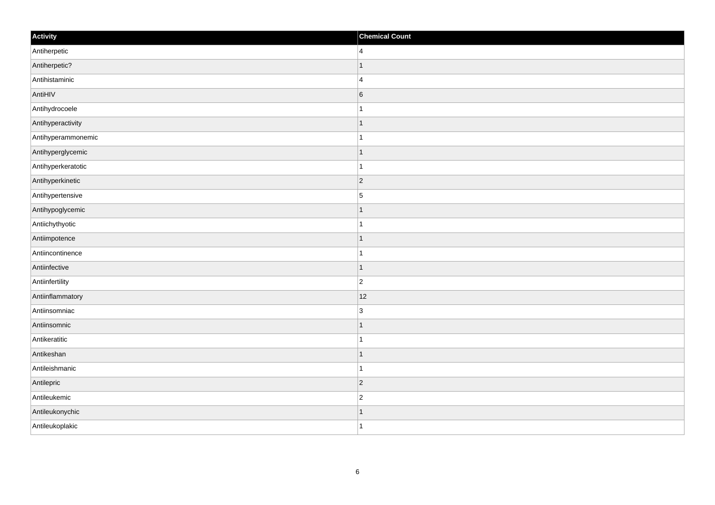| Activity           | <b>Chemical Count</b> |
|--------------------|-----------------------|
| Antiherpetic       | $\overline{4}$        |
| Antiherpetic?      | 1                     |
| Antihistaminic     | $\overline{4}$        |
| AntiHIV            | $\,$ 6 $\,$           |
| Antihydrocoele     | $\mathbf{1}$          |
| Antihyperactivity  | -1                    |
| Antihyperammonemic | $\mathbf 1$           |
| Antihyperglycemic  | $\mathbf 1$           |
| Antihyperkeratotic |                       |
| Antihyperkinetic   | $ 2\rangle$           |
| Antihypertensive   | $\overline{5}$        |
| Antihypoglycemic   | $\mathbf 1$           |
| Antiichythyotic    | $\mathbf{1}$          |
| Antiimpotence      | $\mathbf 1$           |
| Antiincontinence   |                       |
| Antiinfective      | $\overline{1}$        |
| Antiinfertility    | $\overline{2}$        |
| Antiinflammatory   | 12                    |
| Antiinsomniac      | $\overline{3}$        |
| Antiinsomnic       | 1                     |
| Antikeratitic      | 1                     |
| Antikeshan         | $\vert$ 1             |
| Antileishmanic     | $\mathbf{1}$          |
| Antilepric         | $ 2\rangle$           |
| Antileukemic       | $\overline{2}$        |
| Antileukonychic    | 1                     |
| Antileukoplakic    | $\mathbf{1}$          |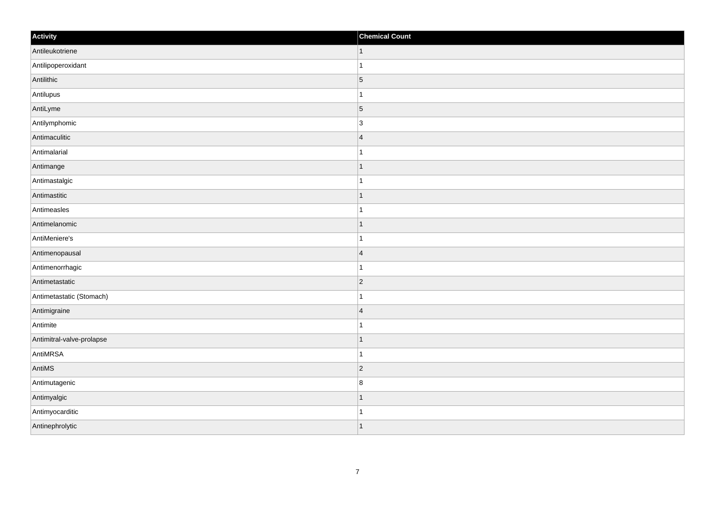| Activity                  | <b>Chemical Count</b>    |
|---------------------------|--------------------------|
| Antileukotriene           | $\vert$ 1                |
| Antilipoperoxidant        |                          |
| Antilithic                | $\overline{5}$           |
| Antilupus                 |                          |
| AntiLyme                  | $\overline{5}$           |
| Antilymphomic             | 3                        |
| Antimaculitic             | $\overline{4}$           |
| Antimalarial              | -1                       |
| Antimange                 |                          |
| Antimastalgic             |                          |
| Antimastitic              | $\mathbf 1$              |
| Antimeasles               |                          |
| Antimelanomic             | -1                       |
| AntiMeniere's             | 1                        |
| Antimenopausal            | $\vert 4 \vert$          |
| Antimenorrhagic           |                          |
| Antimetastatic            | $\vert$ 2                |
| Antimetastatic (Stomach)  |                          |
| Antimigraine              | $\overline{4}$           |
| Antimite                  | -1                       |
| Antimitral-valve-prolapse |                          |
| AntiMRSA                  |                          |
| AntiMS                    | $\overline{2}$           |
| Antimutagenic             | 8                        |
| Antimyalgic               | $\vert$ 1                |
| Antimyocarditic           | -1                       |
| Antinephrolytic           | $\overline{\phantom{a}}$ |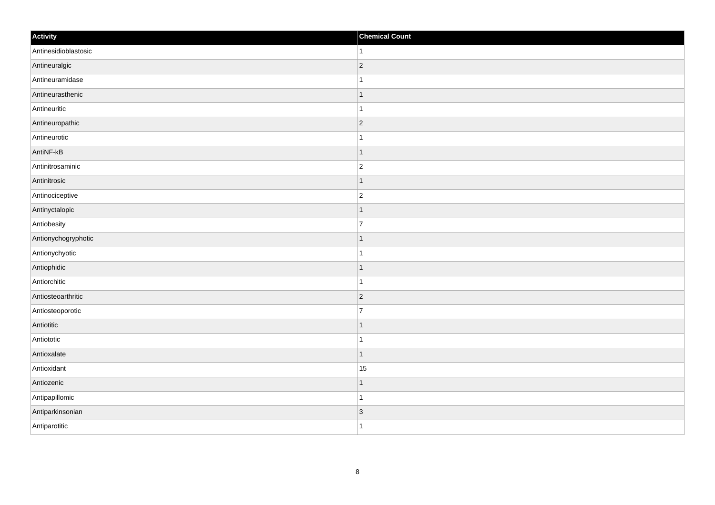| Activity             | <b>Chemical Count</b> |
|----------------------|-----------------------|
| Antinesidioblastosic | $\vert$ 1             |
| Antineuralgic        | $ 2\rangle$           |
| Antineuramidase      | $\mathbf 1$           |
| Antineurasthenic     | $\vert$ 1             |
| Antineuritic         | $\vert$ 1             |
| Antineuropathic      | $ 2\rangle$           |
| Antineurotic         | $\mathbf{1}$          |
| AntiNF-kB            | $\mathbf{1}$          |
| Antinitrosaminic     | $\overline{2}$        |
| Antinitrosic         | $\vert$ 1             |
| Antinociceptive      | $ 2\rangle$           |
| Antinyctalopic       | $\mathbf{1}$          |
| Antiobesity          | $\overline{7}$        |
| Antionychogryphotic  | $\vert$ 1             |
| Antionychyotic       | $\mathbf{1}$          |
| Antiophidic          | $\vert$ 1             |
| Antiorchitic         | $\vert$ 1             |
| Antiosteoarthritic   | $ 2\rangle$           |
| Antiosteoporotic     | 7                     |
| Antiotitic           | $\vert$ 1             |
| Antiototic           | $\vert$ 1             |
| Antioxalate          | $\vert$ 1             |
| Antioxidant          | 15                    |
| Antiozenic           | $\mathbf{1}$          |
| Antipapillomic       | $\vert$ 1             |
| Antiparkinsonian     | $\vert$ 3             |
| Antiparotitic        | $\vert$ 1             |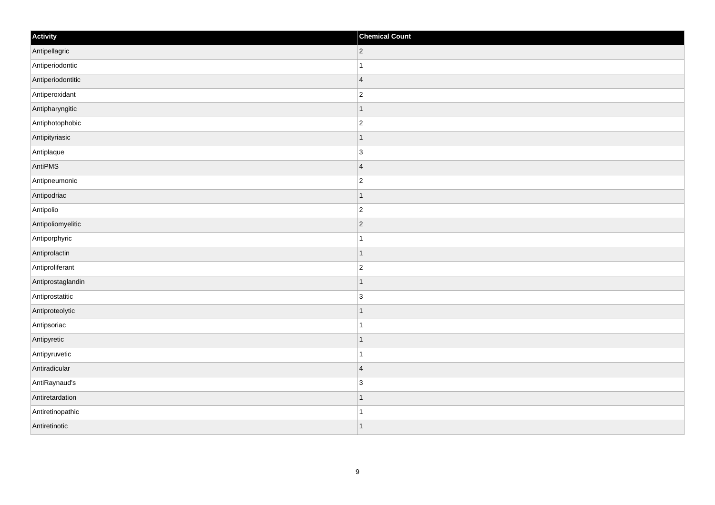| Activity          | <b>Chemical Count</b> |
|-------------------|-----------------------|
| Antipellagric     | $ 2\rangle$           |
| Antiperiodontic   | $\mathbf 1$           |
| Antiperiodontitic | $\overline{4}$        |
| Antiperoxidant    | $\overline{c}$        |
| Antipharyngitic   | $\mathbf 1$           |
| Antiphotophobic   | $\overline{2}$        |
| Antipityriasic    | $\overline{1}$        |
| Antiplaque        | $\overline{3}$        |
| AntiPMS           | $\overline{4}$        |
| Antipneumonic     | $\overline{2}$        |
| Antipodriac       | 1                     |
| Antipolio         | $ 2\rangle$           |
| Antipoliomyelitic | $ 2\rangle$           |
| Antiporphyric     | $\mathbf 1$           |
| Antiprolactin     | $\vert$ 1             |
| Antiproliferant   | $\overline{c}$        |
| Antiprostaglandin | $\mathbf 1$           |
| Antiprostatitic   | $\overline{3}$        |
| Antiproteolytic   | $\vert$ 1             |
| Antipsoriac       | $\mathbf{1}$          |
| Antipyretic       | 1                     |
| Antipyruvetic     | $\mathbf{1}$          |
| Antiradicular     | $\overline{4}$        |
| AntiRaynaud's     | $\overline{3}$        |
| Antiretardation   | $\mathbf{1}$          |
| Antiretinopathic  | 1                     |
| Antiretinotic     | $\vert$ 1             |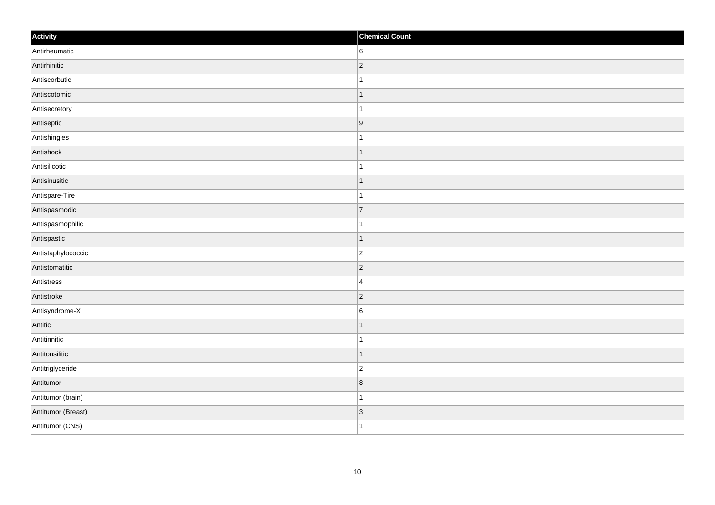| Activity           | <b>Chemical Count</b> |
|--------------------|-----------------------|
| Antirheumatic      | $ 6\rangle$           |
| Antirhinitic       | $ 2\rangle$           |
| Antiscorbutic      |                       |
| Antiscotomic       | $\overline{1}$        |
| Antisecretory      | $\overline{1}$        |
| Antiseptic         | 9                     |
| Antishingles       | $\mathbf{1}$          |
| Antishock          | $\overline{1}$        |
| Antisilicotic      |                       |
| Antisinusitic      | $\vert$ 1             |
| Antispare-Tire     | $\overline{1}$        |
| Antispasmodic      | 7                     |
| Antispasmophilic   | $\mathbf{1}$          |
| Antispastic        | $\vert$ 1             |
| Antistaphylococcic | $ 2\rangle$           |
| Antistomatitic     | $ 2\rangle$           |
| Antistress         | $\overline{4}$        |
| Antistroke         | $ 2\rangle$           |
| Antisyndrome-X     | 6                     |
| Antitic            | 1                     |
| Antitinnitic       | $\mathbf{1}$          |
| Antitonsilitic     | $\vert$ 1             |
| Antitriglyceride   | $ 2\rangle$           |
| Antitumor          | $\bf 8$               |
| Antitumor (brain)  | $\mathbf{1}$          |
| Antitumor (Breast) | 3                     |
| Antitumor (CNS)    | $\overline{1}$        |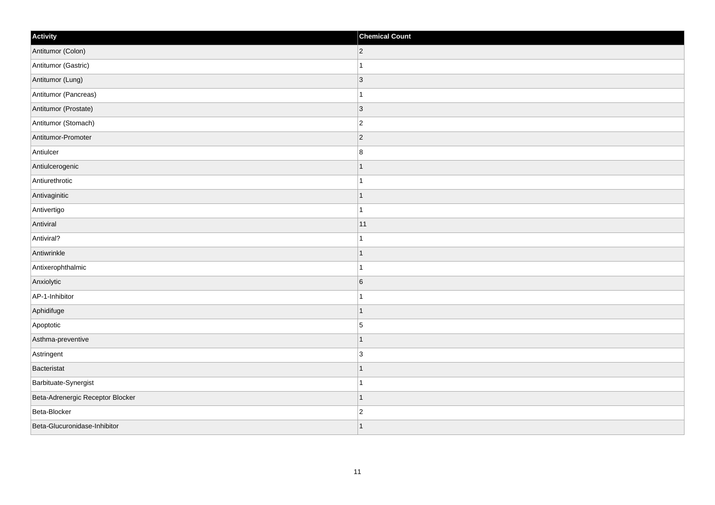| Activity                         | <b>Chemical Count</b> |
|----------------------------------|-----------------------|
| Antitumor (Colon)                | $ 2\rangle$           |
| Antitumor (Gastric)              |                       |
| Antitumor (Lung)                 | $\vert$ 3             |
| Antitumor (Pancreas)             | 1                     |
| Antitumor (Prostate)             | $\vert$ 3             |
| Antitumor (Stomach)              | $\overline{2}$        |
| Antitumor-Promoter               | $ 2\rangle$           |
| Antiulcer                        | 8                     |
| Antiulcerogenic                  |                       |
| Antiurethrotic                   | $\overline{ }$        |
| Antivaginitic                    | $\overline{1}$        |
| Antivertigo                      | $\overline{1}$        |
| Antiviral                        | 11                    |
| Antiviral?                       | $\overline{1}$        |
| Antiwrinkle                      |                       |
| Antixerophthalmic                | 1                     |
| Anxiolytic                       | $\,6\,$               |
| AP-1-Inhibitor                   |                       |
| Aphidifuge                       | $\mathbf{1}$          |
| Apoptotic                        | $\overline{5}$        |
| Asthma-preventive                | $\mathbf 1$           |
| Astringent                       | 3                     |
| Bacteristat                      | $\overline{1}$        |
| Barbituate-Synergist             |                       |
| Beta-Adrenergic Receptor Blocker | $\mathbf{1}$          |
| Beta-Blocker                     | $\overline{2}$        |
| Beta-Glucuronidase-Inhibitor     | $\overline{1}$        |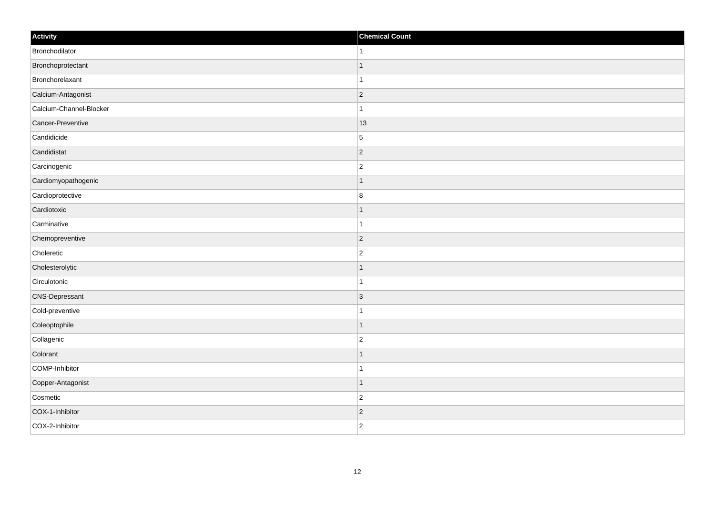| Activity                | <b>Chemical Count</b> |
|-------------------------|-----------------------|
| Bronchodilator          | $\mathbf{1}$          |
| Bronchoprotectant       | $\mathbf{1}$          |
| Bronchorelaxant         | $\mathbf{1}$          |
| Calcium-Antagonist      | $ 2\rangle$           |
| Calcium-Channel-Blocker | $\mathbf{1}$          |
| Cancer-Preventive       | 13                    |
| Candidicide             | $\overline{5}$        |
| Candidistat             | $\overline{2}$        |
| Carcinogenic            | $\overline{2}$        |
| Cardiomyopathogenic     | $\vert$ 1             |
| Cardioprotective        | 8                     |
| Cardiotoxic             | $\mathbf{1}$          |
| Carminative             | $\mathbf{1}$          |
| Chemopreventive         | $ 2\rangle$           |
| Choleretic              | $\vert$ 2             |
| Cholesterolytic         | $\vert$ 1             |
| Circulotonic            | $\mathbf{1}$          |
| <b>CNS-Depressant</b>   | 3                     |
| Cold-preventive         | $\mathbf{1}$          |
| Coleoptophile           | $\mathbf{1}$          |
| Collagenic              | $ 2\rangle$           |
| Colorant                | $\vert$ 1             |
| COMP-Inhibitor          | $\mathbf{1}$          |
| Copper-Antagonist       | $\vert$ 1             |
| Cosmetic                | $\vert$ 2             |
| COX-1-Inhibitor         | $\vert$ 2             |
| COX-2-Inhibitor         | $ 2\rangle$           |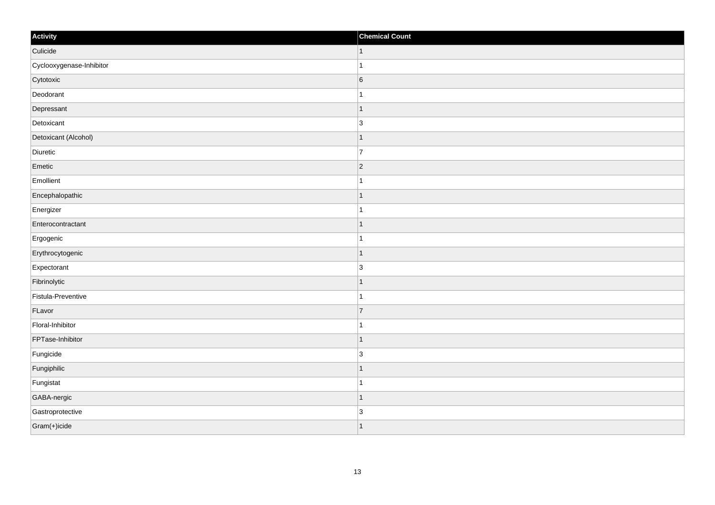| Activity                 | <b>Chemical Count</b>    |
|--------------------------|--------------------------|
| Culicide                 | $\vert$ 1                |
| Cyclooxygenase-Inhibitor |                          |
| Cytotoxic                | $6\overline{6}$          |
| Deodorant                |                          |
| Depressant               |                          |
| Detoxicant               | 3                        |
| Detoxicant (Alcohol)     | -1                       |
| Diuretic                 | $\overline{7}$           |
| Emetic                   | $\vert$ 2                |
| Emollient                |                          |
| Encephalopathic          | $\overline{1}$           |
| Energizer                |                          |
| Enterocontractant        | -1                       |
| Ergogenic                | 1                        |
| Erythrocytogenic         |                          |
| Expectorant              | $\overline{3}$           |
| Fibrinolytic             |                          |
| Fistula-Preventive       | 1                        |
| FLavor                   | $\vert$ 7                |
| Floral-Inhibitor         | -1                       |
| FPTase-Inhibitor         | $\overline{\phantom{a}}$ |
| Fungicide                | $\overline{3}$           |
| Fungiphilic              |                          |
| Fungistat                |                          |
| GABA-nergic              | 1                        |
| Gastroprotective         | $\overline{3}$           |
| Gram(+)icide             | $\overline{\phantom{a}}$ |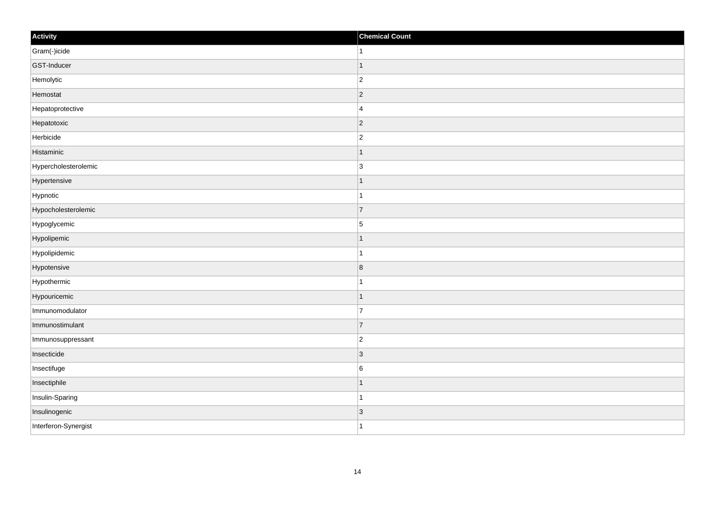| Activity             | <b>Chemical Count</b>   |
|----------------------|-------------------------|
| Gram(-)icide         | 1                       |
| GST-Inducer          |                         |
| Hemolytic            | $\overline{c}$          |
| Hemostat             | $\vert$ 2               |
| Hepatoprotective     | $\overline{4}$          |
| Hepatotoxic          | $\vert$ 2               |
| Herbicide            | $\overline{c}$          |
| Histaminic           |                         |
| Hypercholesterolemic | $\overline{3}$          |
| Hypertensive         | 1                       |
| Hypnotic             | 1                       |
| Hypocholesterolemic  | $\overline{7}$          |
| Hypoglycemic         | $\overline{5}$          |
| Hypolipemic          |                         |
| Hypolipidemic        | 1                       |
| Hypotensive          | $\overline{\mathbf{8}}$ |
| Hypothermic          |                         |
| Hypouricemic         |                         |
| Immunomodulator      | $\overline{7}$          |
| Immunostimulant      | $\overline{7}$          |
| Immunosuppressant    | $\overline{2}$          |
| Insecticide          | $\vert 3 \vert$         |
| Insectifuge          | $\,6$                   |
| Insectiphile         |                         |
| Insulin-Sparing      | -1                      |
| Insulinogenic        | $\vert 3 \vert$         |
| Interferon-Synergist | 1                       |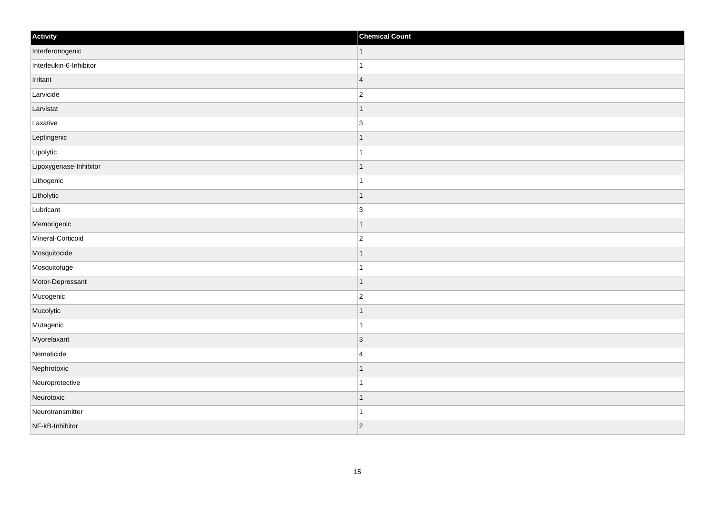| Activity                | <b>Chemical Count</b> |
|-------------------------|-----------------------|
| Interferonogenic        | $\vert$ 1             |
| Interleukin-6-Inhibitor | $\mathbf{1}$          |
| Irritant                | $\vert$ 4             |
| Larvicide               | $\overline{c}$        |
| Larvistat               | $\overline{1}$        |
| Laxative                | 3                     |
| Leptingenic             | $\mathbf{1}$          |
| Lipolytic               | $\mathbf{1}$          |
| Lipoxygenase-Inhibitor  | $\overline{1}$        |
| Lithogenic              | $\mathbf{1}$          |
| Litholytic              | $\mathbf{1}$          |
| Lubricant               | 3                     |
| Memorigenic             | $\vert$ 1             |
| Mineral-Corticoid       | $ 2\rangle$           |
| Mosquitocide            | $\overline{1}$        |
| Mosquitofuge            | $\mathbf{1}$          |
| Motor-Depressant        | $\overline{1}$        |
| Mucogenic               | $\overline{2}$        |
| Mucolytic               | $\vert$ 1             |
| Mutagenic               | $\mathbf{1}$          |
| Myorelaxant             | $ 3\rangle$           |
| Nematicide              | $\overline{4}$        |
| Nephrotoxic             | $\mathbf{1}$          |
| Neuroprotective         | $\mathbf{1}$          |
| Neurotoxic              | $\vert$ 1             |
| Neurotransmitter        | $\mathbf{1}$          |
| NF-kB-Inhibitor         | $ 2\rangle$           |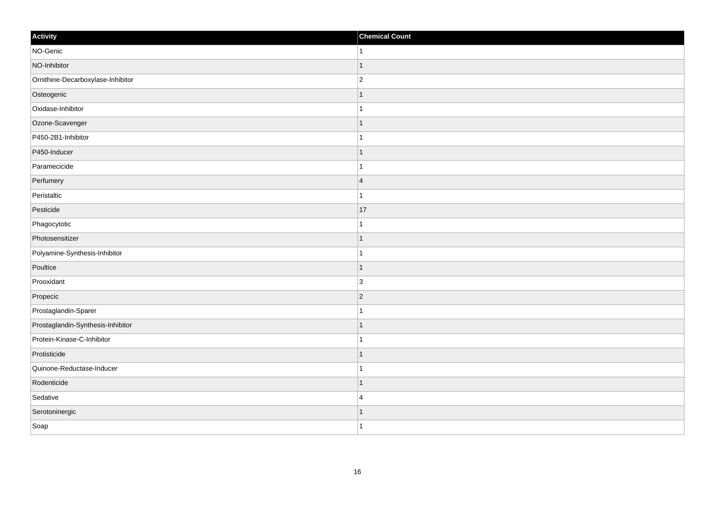| Activity                          | <b>Chemical Count</b> |
|-----------------------------------|-----------------------|
| NO-Genic                          | $\mathbf{1}$          |
| NO-Inhibitor                      | $\overline{1}$        |
| Ornithine-Decarboxylase-Inhibitor | $\overline{c}$        |
| Osteogenic                        | $\mathbf 1$           |
| Oxidase-Inhibitor                 | $\mathbf{1}$          |
| Ozone-Scavenger                   |                       |
| P450-2B1-Inhibitor                |                       |
| P450-Inducer                      |                       |
| Paramecicide                      |                       |
| Perfumery                         | $\overline{4}$        |
| Peristaltic                       | $\mathbf 1$           |
| Pesticide                         | 17                    |
| Phagocytotic                      | 1                     |
| Photosensitizer                   |                       |
| Polyamine-Synthesis-Inhibitor     |                       |
| Poultice                          | $\mathbf{1}$          |
| Prooxidant                        | $\overline{3}$        |
| Propecic                          | $\overline{2}$        |
| Prostaglandin-Sparer              | $\mathbf 1$           |
| Prostaglandin-Synthesis-Inhibitor |                       |
| Protein-Kinase-C-Inhibitor        | -1                    |
| Protisticide                      |                       |
| Quinone-Reductase-Inducer         | 1                     |
| Rodenticide                       | $\mathbf 1$           |
| Sedative                          | $\overline{4}$        |
| Serotoninergic                    | 1                     |
| Soap                              | $\mathbf{1}$          |